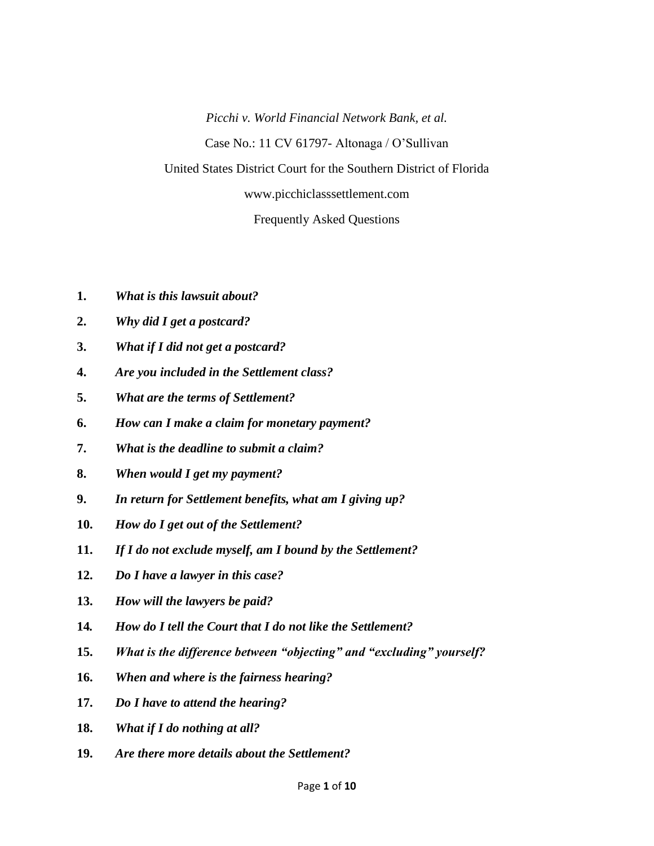*Picchi v. World Financial Network Bank, et al.* Case No.: 11 CV 61797- Altonaga / O'Sullivan United States District Court for the Southern District of Florida www.picchiclasssettlement.com

Frequently Asked Questions

- **1.** *What is this lawsuit about?*
- **2.** *Why did I get a postcard?*
- **3.** *What if I did not get a postcard?*
- **4.** *Are you included in the Settlement class?*
- **5.** *What are the terms of Settlement?*
- **6.** *How can I make a claim for monetary payment?*
- **7.** *What is the deadline to submit a claim?*
- **8.** *When would I get my payment?*
- **9.** *In return for Settlement benefits, what am I giving up?*
- **10.** *How do I get out of the Settlement?*
- **11.** *If I do not exclude myself, am I bound by the Settlement?*
- **12.** *Do I have a lawyer in this case?*
- **13.** *How will the lawyers be paid?*
- **14***. How do I tell the Court that I do not like the Settlement?*
- **15.** *What is the difference between "objecting" and "excluding" yourself?*
- **16.** *When and where is the fairness hearing?*
- **17.** *Do I have to attend the hearing?*
- **18.** *What if I do nothing at all?*
- **19.** *Are there more details about the Settlement?*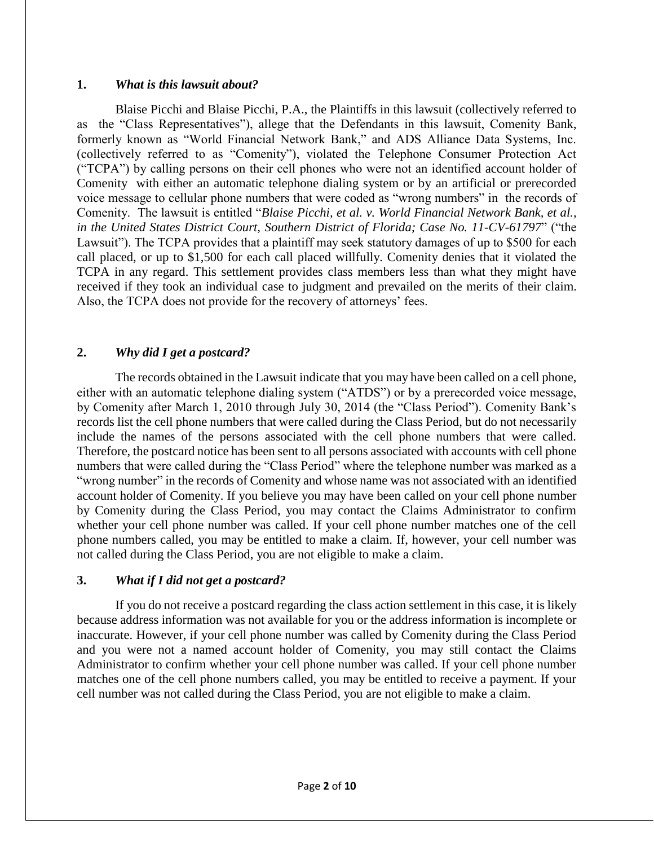#### **1.** *What is this lawsuit about?*

Blaise Picchi and Blaise Picchi, P.A., the Plaintiffs in this lawsuit (collectively referred to as the "Class Representatives"), allege that the Defendants in this lawsuit, Comenity Bank, formerly known as "World Financial Network Bank," and ADS Alliance Data Systems, Inc. (collectively referred to as "Comenity"), violated the Telephone Consumer Protection Act ("TCPA") by calling persons on their cell phones who were not an identified account holder of Comenity with either an automatic telephone dialing system or by an artificial or prerecorded voice message to cellular phone numbers that were coded as "wrong numbers" in the records of Comenity. The lawsuit is entitled "*Blaise Picchi, et al. v. World Financial Network Bank, et al., in the United States District Court, Southern District of Florida; Case No. 11-CV-61797*" ("the Lawsuit"). The TCPA provides that a plaintiff may seek statutory damages of up to \$500 for each call placed, or up to \$1,500 for each call placed willfully. Comenity denies that it violated the TCPA in any regard. This settlement provides class members less than what they might have received if they took an individual case to judgment and prevailed on the merits of their claim. Also, the TCPA does not provide for the recovery of attorneys' fees.

## **2.** *Why did I get a postcard?*

The records obtained in the Lawsuit indicate that you may have been called on a cell phone, either with an automatic telephone dialing system ("ATDS") or by a prerecorded voice message, by Comenity after March 1, 2010 through July 30, 2014 (the "Class Period"). Comenity Bank's records list the cell phone numbers that were called during the Class Period, but do not necessarily include the names of the persons associated with the cell phone numbers that were called. Therefore, the postcard notice has been sent to all persons associated with accounts with cell phone numbers that were called during the "Class Period" where the telephone number was marked as a "wrong number" in the records of Comenity and whose name was not associated with an identified account holder of Comenity. If you believe you may have been called on your cell phone number by Comenity during the Class Period, you may contact the Claims Administrator to confirm whether your cell phone number was called. If your cell phone number matches one of the cell phone numbers called, you may be entitled to make a claim. If, however, your cell number was not called during the Class Period, you are not eligible to make a claim.

## **3.** *What if I did not get a postcard?*

If you do not receive a postcard regarding the class action settlement in this case, it is likely because address information was not available for you or the address information is incomplete or inaccurate. However, if your cell phone number was called by Comenity during the Class Period and you were not a named account holder of Comenity, you may still contact the Claims Administrator to confirm whether your cell phone number was called. If your cell phone number matches one of the cell phone numbers called, you may be entitled to receive a payment. If your cell number was not called during the Class Period, you are not eligible to make a claim.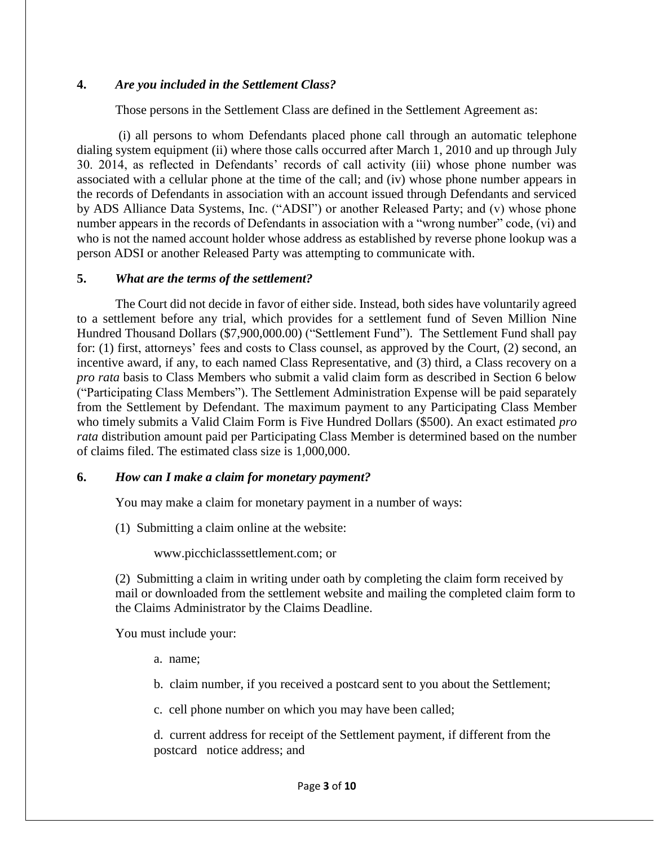#### **4.** *Are you included in the Settlement Class?*

Those persons in the Settlement Class are defined in the Settlement Agreement as:

(i) all persons to whom Defendants placed phone call through an automatic telephone dialing system equipment (ii) where those calls occurred after March 1, 2010 and up through July 30. 2014, as reflected in Defendants' records of call activity (iii) whose phone number was associated with a cellular phone at the time of the call; and (iv) whose phone number appears in the records of Defendants in association with an account issued through Defendants and serviced by ADS Alliance Data Systems, Inc. ("ADSI") or another Released Party; and (v) whose phone number appears in the records of Defendants in association with a "wrong number" code, (vi) and who is not the named account holder whose address as established by reverse phone lookup was a person ADSI or another Released Party was attempting to communicate with.

#### **5.** *What are the terms of the settlement?*

The Court did not decide in favor of either side. Instead, both sides have voluntarily agreed to a settlement before any trial, which provides for a settlement fund of Seven Million Nine Hundred Thousand Dollars (\$7,900,000.00) ("Settlement Fund"). The Settlement Fund shall pay for: (1) first, attorneys' fees and costs to Class counsel, as approved by the Court, (2) second, an incentive award, if any, to each named Class Representative, and (3) third, a Class recovery on a *pro rata* basis to Class Members who submit a valid claim form as described in Section 6 below ("Participating Class Members"). The Settlement Administration Expense will be paid separately from the Settlement by Defendant. The maximum payment to any Participating Class Member who timely submits a Valid Claim Form is Five Hundred Dollars (\$500). An exact estimated *pro rata* distribution amount paid per Participating Class Member is determined based on the number of claims filed. The estimated class size is 1,000,000.

#### **6.** *How can I make a claim for monetary payment?*

You may make a claim for monetary payment in a number of ways:

(1) Submitting a claim online at the website:

www.picchiclasssettlement.com; or

(2) Submitting a claim in writing under oath by completing the claim form received by mail or downloaded from the settlement website and mailing the completed claim form to the Claims Administrator by the Claims Deadline.

You must include your:

a. name;

b. claim number, if you received a postcard sent to you about the Settlement;

c. cell phone number on which you may have been called;

d. current address for receipt of the Settlement payment, if different from the postcard notice address; and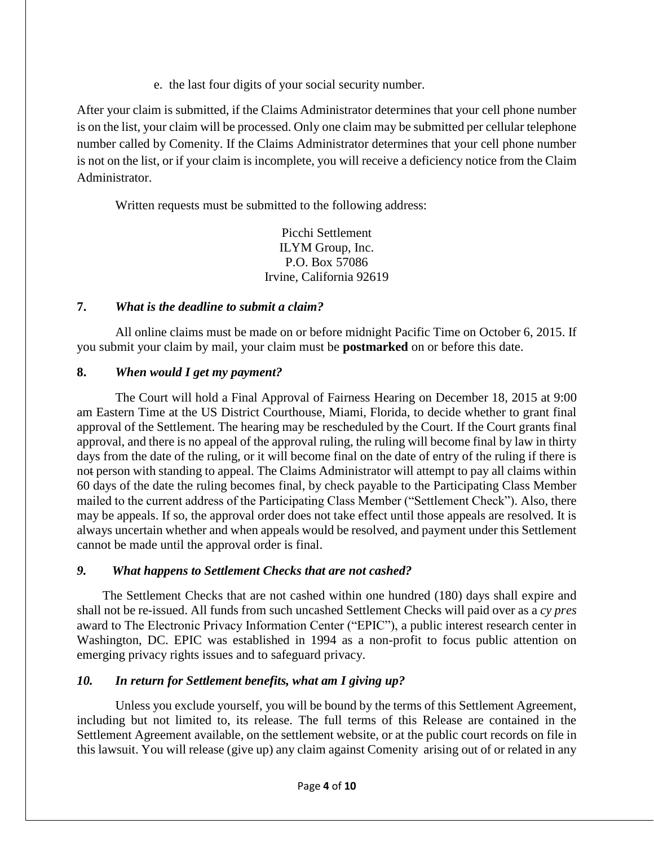e. the last four digits of your social security number.

After your claim is submitted, if the Claims Administrator determines that your cell phone number is on the list, your claim will be processed. Only one claim may be submitted per cellular telephone number called by Comenity. If the Claims Administrator determines that your cell phone number is not on the list, or if your claim is incomplete, you will receive a deficiency notice from the Claim Administrator.

Written requests must be submitted to the following address:

Picchi Settlement ILYM Group, Inc. P.O. Box 57086 Irvine, California 92619

# **7.** *What is the deadline to submit a claim?*

All online claims must be made on or before midnight Pacific Time on October 6, 2015. If you submit your claim by mail, your claim must be **postmarked** on or before this date.

# **8.** *When would I get my payment?*

The Court will hold a Final Approval of Fairness Hearing on December 18, 2015 at 9:00 am Eastern Time at the US District Courthouse, Miami, Florida, to decide whether to grant final approval of the Settlement. The hearing may be rescheduled by the Court. If the Court grants final approval, and there is no appeal of the approval ruling, the ruling will become final by law in thirty days from the date of the ruling, or it will become final on the date of entry of the ruling if there is not person with standing to appeal. The Claims Administrator will attempt to pay all claims within 60 days of the date the ruling becomes final, by check payable to the Participating Class Member mailed to the current address of the Participating Class Member ("Settlement Check"). Also, there may be appeals. If so, the approval order does not take effect until those appeals are resolved. It is always uncertain whether and when appeals would be resolved, and payment under this Settlement cannot be made until the approval order is final.

## *9. What happens to Settlement Checks that are not cashed?*

 The Settlement Checks that are not cashed within one hundred (180) days shall expire and shall not be re-issued. All funds from such uncashed Settlement Checks will paid over as a *cy pres* award to The Electronic Privacy Information Center ("EPIC"), a public interest research center in Washington, DC. EPIC was established in 1994 as a non-profit to focus public attention on emerging privacy rights issues and to safeguard privacy.

# *10. In return for Settlement benefits, what am I giving up?*

Unless you exclude yourself, you will be bound by the terms of this Settlement Agreement, including but not limited to, its release. The full terms of this Release are contained in the Settlement Agreement available, on the settlement website, or at the public court records on file in this lawsuit. You will release (give up) any claim against Comenity arising out of or related in any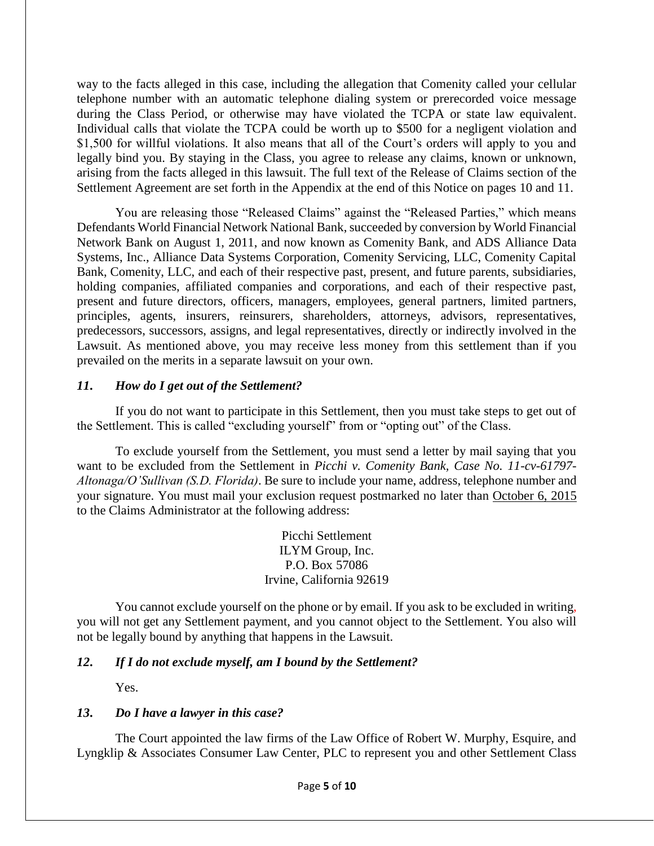way to the facts alleged in this case, including the allegation that Comenity called your cellular telephone number with an automatic telephone dialing system or prerecorded voice message during the Class Period, or otherwise may have violated the TCPA or state law equivalent. Individual calls that violate the TCPA could be worth up to \$500 for a negligent violation and \$1,500 for willful violations. It also means that all of the Court's orders will apply to you and legally bind you. By staying in the Class, you agree to release any claims, known or unknown, arising from the facts alleged in this lawsuit. The full text of the Release of Claims section of the Settlement Agreement are set forth in the Appendix at the end of this Notice on pages 10 and 11.

You are releasing those "Released Claims" against the "Released Parties," which means Defendants World Financial Network National Bank, succeeded by conversion by World Financial Network Bank on August 1, 2011, and now known as Comenity Bank, and ADS Alliance Data Systems, Inc., Alliance Data Systems Corporation, Comenity Servicing, LLC, Comenity Capital Bank, Comenity, LLC, and each of their respective past, present, and future parents, subsidiaries, holding companies, affiliated companies and corporations, and each of their respective past, present and future directors, officers, managers, employees, general partners, limited partners, principles, agents, insurers, reinsurers, shareholders, attorneys, advisors, representatives, predecessors, successors, assigns, and legal representatives, directly or indirectly involved in the Lawsuit. As mentioned above, you may receive less money from this settlement than if you prevailed on the merits in a separate lawsuit on your own.

## *11***.** *How do I get out of the Settlement?*

If you do not want to participate in this Settlement, then you must take steps to get out of the Settlement. This is called "excluding yourself" from or "opting out" of the Class.

To exclude yourself from the Settlement, you must send a letter by mail saying that you want to be excluded from the Settlement in *Picchi v. Comenity Bank, Case No. 11-cv-61797- Altonaga/O'Sullivan (S.D. Florida)*. Be sure to include your name, address, telephone number and your signature. You must mail your exclusion request postmarked no later than October 6, 2015 to the Claims Administrator at the following address:

> Picchi Settlement ILYM Group, Inc. P.O. Box 57086 Irvine, California 92619

You cannot exclude yourself on the phone or by email. If you ask to be excluded in writing, you will not get any Settlement payment, and you cannot object to the Settlement. You also will not be legally bound by anything that happens in the Lawsuit.

## *12***.** *If I do not exclude myself, am I bound by the Settlement?*

Yes.

## *13***.** *Do I have a lawyer in this case?*

The Court appointed the law firms of the Law Office of Robert W. Murphy, Esquire, and Lyngklip & Associates Consumer Law Center, PLC to represent you and other Settlement Class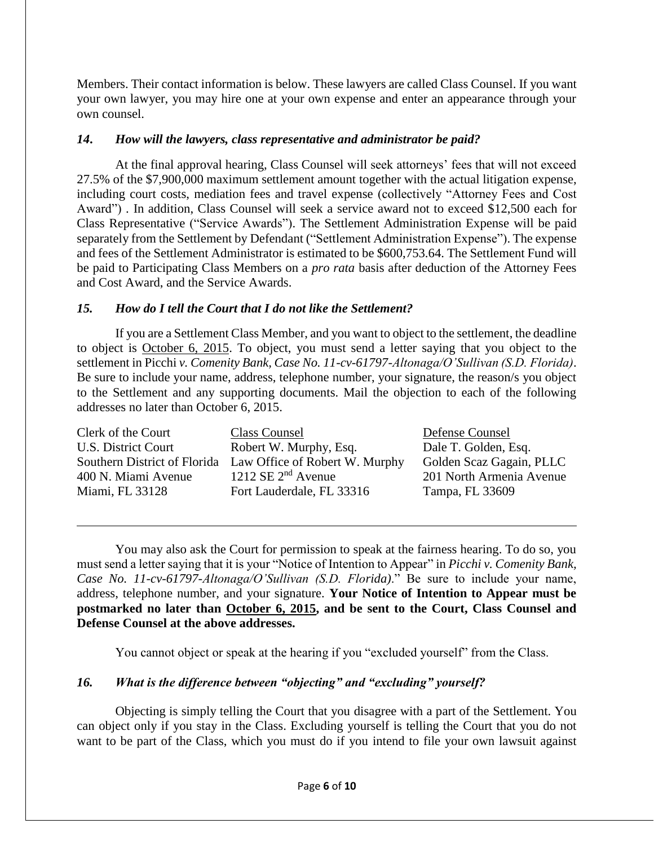Members. Their contact information is below. These lawyers are called Class Counsel. If you want your own lawyer, you may hire one at your own expense and enter an appearance through your own counsel.

## *14***.** *How will the lawyers, class representative and administrator be paid?*

At the final approval hearing, Class Counsel will seek attorneys' fees that will not exceed 27.5% of the \$7,900,000 maximum settlement amount together with the actual litigation expense, including court costs, mediation fees and travel expense (collectively "Attorney Fees and Cost Award") . In addition, Class Counsel will seek a service award not to exceed \$12,500 each for Class Representative ("Service Awards"). The Settlement Administration Expense will be paid separately from the Settlement by Defendant ("Settlement Administration Expense"). The expense and fees of the Settlement Administrator is estimated to be \$600,753.64. The Settlement Fund will be paid to Participating Class Members on a *pro rata* basis after deduction of the Attorney Fees and Cost Award, and the Service Awards.

# *15. How do I tell the Court that I do not like the Settlement?*

If you are a Settlement Class Member, and you want to object to the settlement, the deadline to object is October 6, 2015. To object, you must send a letter saying that you object to the settlement in Picchi *v. Comenity Bank, Case No. 11-cv-61797-Altonaga/O'Sullivan (S.D. Florida)*. Be sure to include your name, address, telephone number, your signature, the reason/s you object to the Settlement and any supporting documents. Mail the objection to each of the following addresses no later than October 6, 2015.

| Class Counsel                  | Defense Counsel          |
|--------------------------------|--------------------------|
| Robert W. Murphy, Esq.         | Dale T. Golden, Esq.     |
| Law Office of Robert W. Murphy | Golden Scaz Gagain, PLLC |
| 1212 SE $2nd$ Avenue           | 201 North Armenia Avenue |
| Fort Lauderdale, FL 33316      | Tampa, FL 33609          |
|                                |                          |

You may also ask the Court for permission to speak at the fairness hearing. To do so, you must send a letter saying that it is your "Notice of Intention to Appear" in *Picchi v. Comenity Bank, Case No. 11-cv-61797-Altonaga/O'Sullivan (S.D. Florida)*." Be sure to include your name, address, telephone number, and your signature. **Your Notice of Intention to Appear must be postmarked no later than October 6, 2015, and be sent to the Court, Class Counsel and Defense Counsel at the above addresses.**

You cannot object or speak at the hearing if you "excluded yourself" from the Class.

# *16. What is the difference between "objecting" and "excluding" yourself?*

Objecting is simply telling the Court that you disagree with a part of the Settlement. You can object only if you stay in the Class. Excluding yourself is telling the Court that you do not want to be part of the Class, which you must do if you intend to file your own lawsuit against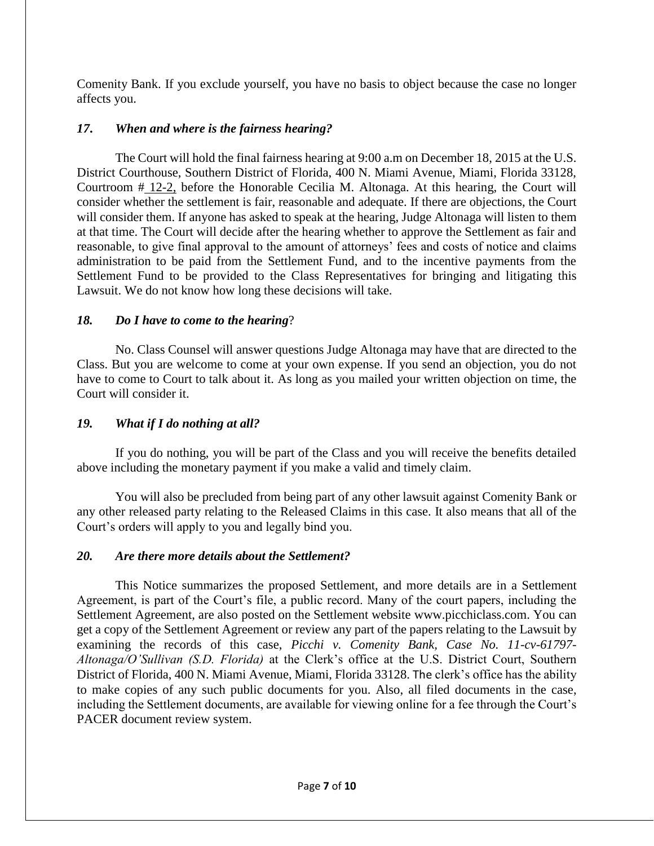Comenity Bank. If you exclude yourself, you have no basis to object because the case no longer affects you.

## *17***.** *When and where is the fairness hearing?*

The Court will hold the final fairness hearing at 9:00 a.m on December 18, 2015 at the U.S. District Courthouse, Southern District of Florida, 400 N. Miami Avenue, Miami, Florida 33128, Courtroom # 12-2, before the Honorable Cecilia M. Altonaga. At this hearing, the Court will consider whether the settlement is fair, reasonable and adequate. If there are objections, the Court will consider them. If anyone has asked to speak at the hearing, Judge Altonaga will listen to them at that time. The Court will decide after the hearing whether to approve the Settlement as fair and reasonable, to give final approval to the amount of attorneys' fees and costs of notice and claims administration to be paid from the Settlement Fund, and to the incentive payments from the Settlement Fund to be provided to the Class Representatives for bringing and litigating this Lawsuit. We do not know how long these decisions will take.

#### *18. Do I have to come to the hearing*?

No. Class Counsel will answer questions Judge Altonaga may have that are directed to the Class. But you are welcome to come at your own expense. If you send an objection, you do not have to come to Court to talk about it. As long as you mailed your written objection on time, the Court will consider it.

#### *19. What if I do nothing at all?*

If you do nothing, you will be part of the Class and you will receive the benefits detailed above including the monetary payment if you make a valid and timely claim.

You will also be precluded from being part of any other lawsuit against Comenity Bank or any other released party relating to the Released Claims in this case. It also means that all of the Court's orders will apply to you and legally bind you.

#### *20. Are there more details about the Settlement?*

This Notice summarizes the proposed Settlement, and more details are in a Settlement Agreement, is part of the Court's file, a public record. Many of the court papers, including the Settlement Agreement, are also posted on the Settlement website www.picchiclass.com. You can get a copy of the Settlement Agreement or review any part of the papers relating to the Lawsuit by examining the records of this case, *Picchi v. Comenity Bank, Case No. 11-cv-61797- Altonaga/O'Sullivan (S.D. Florida)* at the Clerk's office at the U.S. District Court, Southern District of Florida, 400 N. Miami Avenue, Miami, Florida 33128. The clerk's office has the ability to make copies of any such public documents for you. Also, all filed documents in the case, including the Settlement documents, are available for viewing online for a fee through the Court's PACER document review system.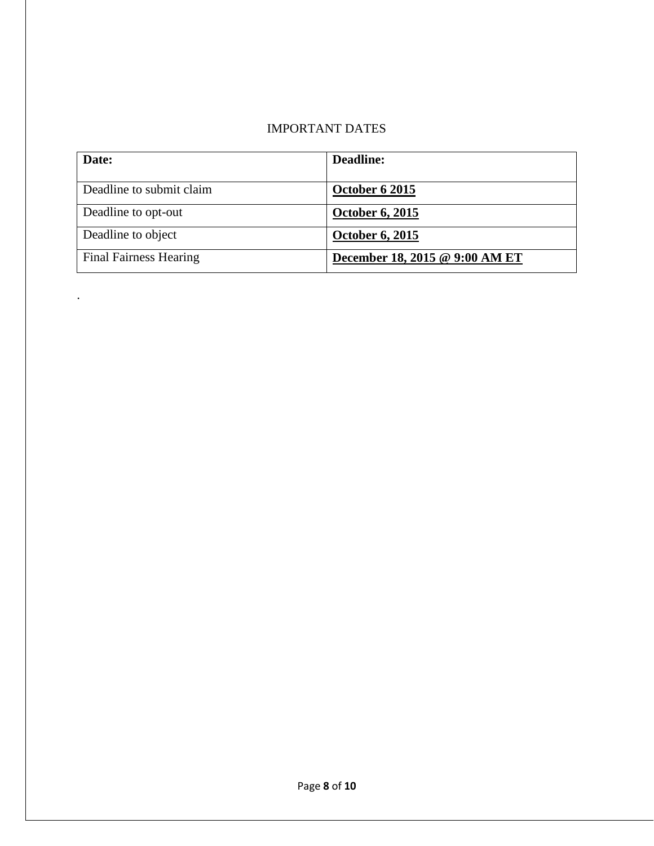# IMPORTANT DATES

| Date:                         | Deadline:                      |
|-------------------------------|--------------------------------|
| Deadline to submit claim      | <b>October 6 2015</b>          |
| Deadline to opt-out           | October 6, 2015                |
| Deadline to object            | <b>October 6, 2015</b>         |
| <b>Final Fairness Hearing</b> | December 18, 2015 @ 9:00 AM ET |

.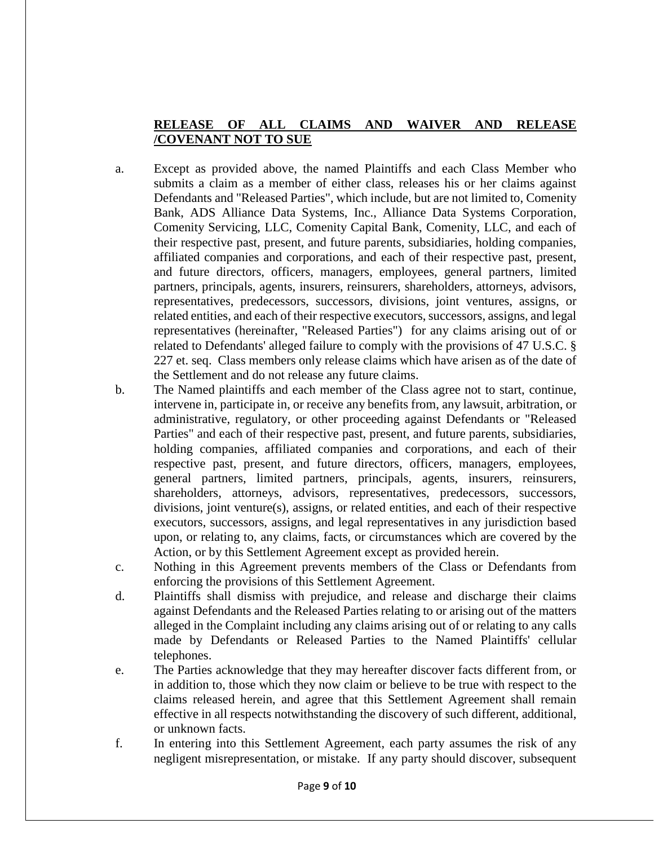## **RELEASE OF ALL CLAIMS AND WAIVER AND RELEASE /COVENANT NOT TO SUE**

- a. Except as provided above, the named Plaintiffs and each Class Member who submits a claim as a member of either class, releases his or her claims against Defendants and "Released Parties", which include, but are not limited to, Comenity Bank, ADS Alliance Data Systems, Inc., Alliance Data Systems Corporation, Comenity Servicing, LLC, Comenity Capital Bank, Comenity, LLC, and each of their respective past, present, and future parents, subsidiaries, holding companies, affiliated companies and corporations, and each of their respective past, present, and future directors, officers, managers, employees, general partners, limited partners, principals, agents, insurers, reinsurers, shareholders, attorneys, advisors, representatives, predecessors, successors, divisions, joint ventures, assigns, or related entities, and each of their respective executors, successors, assigns, and legal representatives (hereinafter, "Released Parties") for any claims arising out of or related to Defendants' alleged failure to comply with the provisions of 47 U.S.C. § 227 et. seq. Class members only release claims which have arisen as of the date of the Settlement and do not release any future claims.
- b. The Named plaintiffs and each member of the Class agree not to start, continue, intervene in, participate in, or receive any benefits from, any lawsuit, arbitration, or administrative, regulatory, or other proceeding against Defendants or "Released Parties" and each of their respective past, present, and future parents, subsidiaries, holding companies, affiliated companies and corporations, and each of their respective past, present, and future directors, officers, managers, employees, general partners, limited partners, principals, agents, insurers, reinsurers, shareholders, attorneys, advisors, representatives, predecessors, successors, divisions, joint venture(s), assigns, or related entities, and each of their respective executors, successors, assigns, and legal representatives in any jurisdiction based upon, or relating to, any claims, facts, or circumstances which are covered by the Action, or by this Settlement Agreement except as provided herein.
- c. Nothing in this Agreement prevents members of the Class or Defendants from enforcing the provisions of this Settlement Agreement.
- d. Plaintiffs shall dismiss with prejudice, and release and discharge their claims against Defendants and the Released Parties relating to or arising out of the matters alleged in the Complaint including any claims arising out of or relating to any calls made by Defendants or Released Parties to the Named Plaintiffs' cellular telephones.
- e. The Parties acknowledge that they may hereafter discover facts different from, or in addition to, those which they now claim or believe to be true with respect to the claims released herein, and agree that this Settlement Agreement shall remain effective in all respects notwithstanding the discovery of such different, additional, or unknown facts.
- f. In entering into this Settlement Agreement, each party assumes the risk of any negligent misrepresentation, or mistake. If any party should discover, subsequent